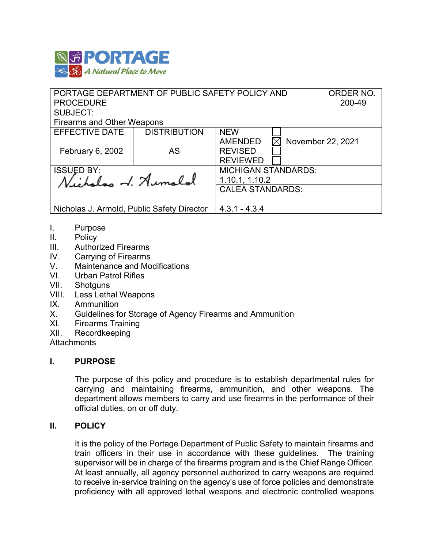

| PORTAGE DEPARTMENT OF PUBLIC SAFETY POLICY AND | ORDER NO.           |                                     |  |  |  |  |
|------------------------------------------------|---------------------|-------------------------------------|--|--|--|--|
| <b>PROCEDURE</b>                               | 200-49              |                                     |  |  |  |  |
| <b>SUBJECT:</b>                                |                     |                                     |  |  |  |  |
| <b>Firearms and Other Weapons</b>              |                     |                                     |  |  |  |  |
| <b>EFFECTIVE DATE</b>                          | <b>DISTRIBUTION</b> | <b>NEW</b>                          |  |  |  |  |
|                                                |                     | <b>AMENDED</b><br>November 22, 2021 |  |  |  |  |
| February 6, 2002                               | AS                  | <b>REVISED</b>                      |  |  |  |  |
|                                                |                     | <b>REVIEWED</b>                     |  |  |  |  |
| <b>ISSUED BY:</b>                              |                     | <b>MICHIGAN STANDARDS:</b>          |  |  |  |  |
| Nicholas V. Aumalal                            |                     | 1.10.1, 1.10.2                      |  |  |  |  |
|                                                |                     | <b>CALEA STANDARDS:</b>             |  |  |  |  |
|                                                |                     |                                     |  |  |  |  |
| Nicholas J. Armold, Public Safety Director     |                     | $4.3.1 - 4.3.4$                     |  |  |  |  |

- I. Purpose<br>II. Policy
- Policy
- III. Authorized Firearms
- IV. Carrying of Firearms
- V. Maintenance and Modifications
- VI. Urban Patrol Rifles
- VII. Shotguns<br>VIII. Less Letha
- Less Lethal Weapons
- IX. Ammunition
- X. Guidelines for Storage of Agency Firearms and Ammunition
- XI. Firearms Training
- XII. Recordkeeping

**Attachments** 

## **I. PURPOSE**

The purpose of this policy and procedure is to establish departmental rules for carrying and maintaining firearms, ammunition, and other weapons. The department allows members to carry and use firearms in the performance of their official duties, on or off duty.

#### **II. POLICY**

It is the policy of the Portage Department of Public Safety to maintain firearms and train officers in their use in accordance with these guidelines. The training supervisor will be in charge of the firearms program and is the Chief Range Officer. At least annually, all agency personnel authorized to carry weapons are required to receive in-service training on the agency's use of force policies and demonstrate proficiency with all approved lethal weapons and electronic controlled weapons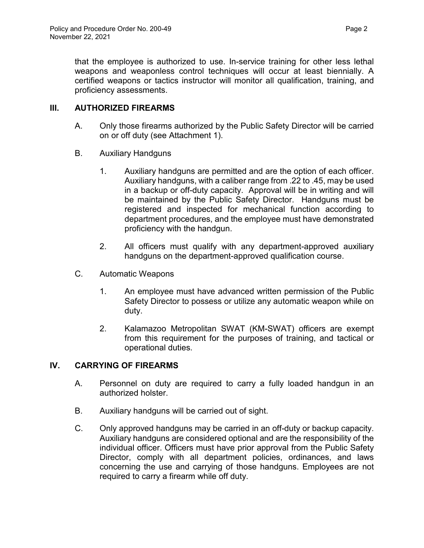# **III. AUTHORIZED FIREARMS**

- A. Only those firearms authorized by the Public Safety Director will be carried on or off duty (see Attachment 1).
- B. Auxiliary Handguns
	- 1. Auxiliary handguns are permitted and are the option of each officer. Auxiliary handguns, with a caliber range from .22 to .45, may be used in a backup or off-duty capacity. Approval will be in writing and will be maintained by the Public Safety Director. Handguns must be registered and inspected for mechanical function according to department procedures, and the employee must have demonstrated proficiency with the handgun.
	- 2. All officers must qualify with any department-approved auxiliary handguns on the department-approved qualification course.
- C. Automatic Weapons
	- 1. An employee must have advanced written permission of the Public Safety Director to possess or utilize any automatic weapon while on duty.
	- 2. Kalamazoo Metropolitan SWAT (KM-SWAT) officers are exempt from this requirement for the purposes of training, and tactical or operational duties.

# **IV. CARRYING OF FIREARMS**

- A. Personnel on duty are required to carry a fully loaded handgun in an authorized holster.
- B. Auxiliary handguns will be carried out of sight.
- C. Only approved handguns may be carried in an off-duty or backup capacity. Auxiliary handguns are considered optional and are the responsibility of the individual officer. Officers must have prior approval from the Public Safety Director, comply with all department policies, ordinances, and laws concerning the use and carrying of those handguns. Employees are not required to carry a firearm while off duty.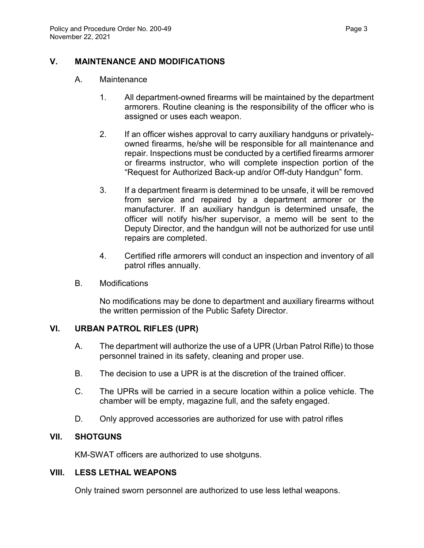# **V. MAINTENANCE AND MODIFICATIONS**

#### A. Maintenance

- 1. All department-owned firearms will be maintained by the department armorers. Routine cleaning is the responsibility of the officer who is assigned or uses each weapon.
- 2. If an officer wishes approval to carry auxiliary handguns or privatelyowned firearms, he/she will be responsible for all maintenance and repair. Inspections must be conducted by a certified firearms armorer or firearms instructor, who will complete inspection portion of the "Request for Authorized Back-up and/or Off-duty Handgun" form.
- 3. If a department firearm is determined to be unsafe, it will be removed from service and repaired by a department armorer or the manufacturer. If an auxiliary handgun is determined unsafe, the officer will notify his/her supervisor, a memo will be sent to the Deputy Director, and the handgun will not be authorized for use until repairs are completed.
- 4. Certified rifle armorers will conduct an inspection and inventory of all patrol rifles annually.
- B. Modifications

No modifications may be done to department and auxiliary firearms without the written permission of the Public Safety Director.

# **VI. URBAN PATROL RIFLES (UPR)**

- A. The department will authorize the use of a UPR (Urban Patrol Rifle) to those personnel trained in its safety, cleaning and proper use.
- B. The decision to use a UPR is at the discretion of the trained officer.
- C. The UPRs will be carried in a secure location within a police vehicle. The chamber will be empty, magazine full, and the safety engaged.
- D. Only approved accessories are authorized for use with patrol rifles

## **VII. SHOTGUNS**

KM-SWAT officers are authorized to use shotguns.

# **VIII. LESS LETHAL WEAPONS**

Only trained sworn personnel are authorized to use less lethal weapons.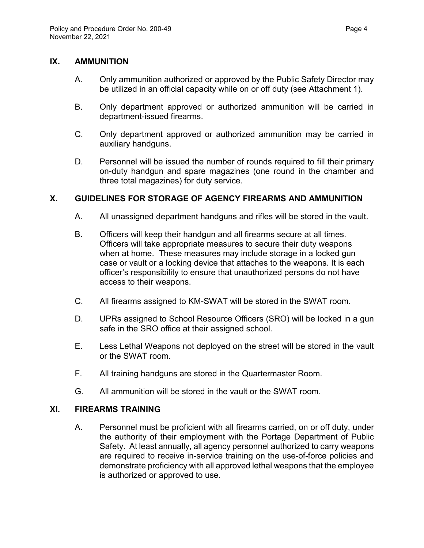#### **IX. AMMUNITION**

- A. Only ammunition authorized or approved by the Public Safety Director may be utilized in an official capacity while on or off duty (see Attachment 1).
- B. Only department approved or authorized ammunition will be carried in department-issued firearms.
- C. Only department approved or authorized ammunition may be carried in auxiliary handguns.
- D. Personnel will be issued the number of rounds required to fill their primary on-duty handgun and spare magazines (one round in the chamber and three total magazines) for duty service.

## **X. GUIDELINES FOR STORAGE OF AGENCY FIREARMS AND AMMUNITION**

- A. All unassigned department handguns and rifles will be stored in the vault.
- B. Officers will keep their handgun and all firearms secure at all times. Officers will take appropriate measures to secure their duty weapons when at home. These measures may include storage in a locked gun case or vault or a locking device that attaches to the weapons. It is each officer's responsibility to ensure that unauthorized persons do not have access to their weapons.
- C. All firearms assigned to KM-SWAT will be stored in the SWAT room.
- D. UPRs assigned to School Resource Officers (SRO) will be locked in a gun safe in the SRO office at their assigned school.
- E. Less Lethal Weapons not deployed on the street will be stored in the vault or the SWAT room.
- F. All training handguns are stored in the Quartermaster Room.
- G. All ammunition will be stored in the vault or the SWAT room.

#### **XI. FIREARMS TRAINING**

A. Personnel must be proficient with all firearms carried, on or off duty, under the authority of their employment with the Portage Department of Public Safety. At least annually, all agency personnel authorized to carry weapons are required to receive in-service training on the use-of-force policies and demonstrate proficiency with all approved lethal weapons that the employee is authorized or approved to use.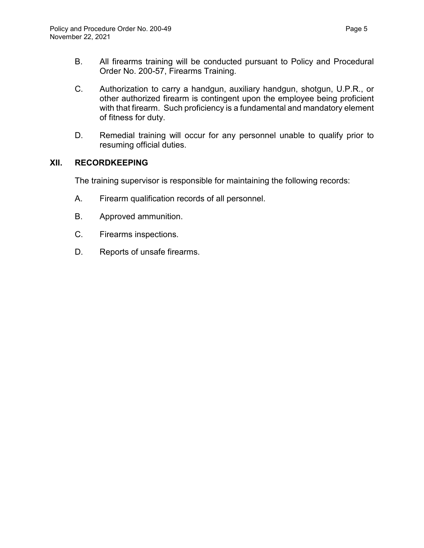- B. All firearms training will be conducted pursuant to Policy and Procedural Order No. 200-57, Firearms Training.
- C. Authorization to carry a handgun, auxiliary handgun, shotgun, U.P.R., or other authorized firearm is contingent upon the employee being proficient with that firearm. Such proficiency is a fundamental and mandatory element of fitness for duty.
- D. Remedial training will occur for any personnel unable to qualify prior to resuming official duties.

# **XII. RECORDKEEPING**

The training supervisor is responsible for maintaining the following records:

- A. Firearm qualification records of all personnel.
- B. Approved ammunition.
- C. Firearms inspections.
- D. Reports of unsafe firearms.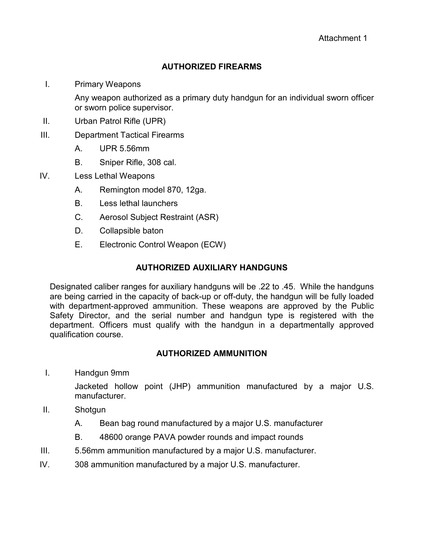# **AUTHORIZED FIREARMS**

I. Primary Weapons

Any weapon authorized as a primary duty handgun for an individual sworn officer or sworn police supervisor.

- II. Urban Patrol Rifle (UPR)
- III. Department Tactical Firearms
	- A. UPR 5.56mm
	- B. Sniper Rifle, 308 cal.
- IV. Less Lethal Weapons
	- A. Remington model 870, 12ga.
	- B. Less lethal launchers
	- C. Aerosol Subject Restraint (ASR)
	- D. Collapsible baton
	- E. Electronic Control Weapon (ECW)

# **AUTHORIZED AUXILIARY HANDGUNS**

Designated caliber ranges for auxiliary handguns will be .22 to .45. While the handguns are being carried in the capacity of back-up or off-duty, the handgun will be fully loaded with department-approved ammunition. These weapons are approved by the Public Safety Director, and the serial number and handgun type is registered with the department. Officers must qualify with the handgun in a departmentally approved qualification course.

## **AUTHORIZED AMMUNITION**

I. Handgun 9mm

Jacketed hollow point (JHP) ammunition manufactured by a major U.S. manufacturer.

- II. Shotgun
	- A. Bean bag round manufactured by a major U.S. manufacturer
	- B. 48600 orange PAVA powder rounds and impact rounds
- III. 5.56mm ammunition manufactured by a major U.S. manufacturer.
- IV. 308 ammunition manufactured by a major U.S. manufacturer.